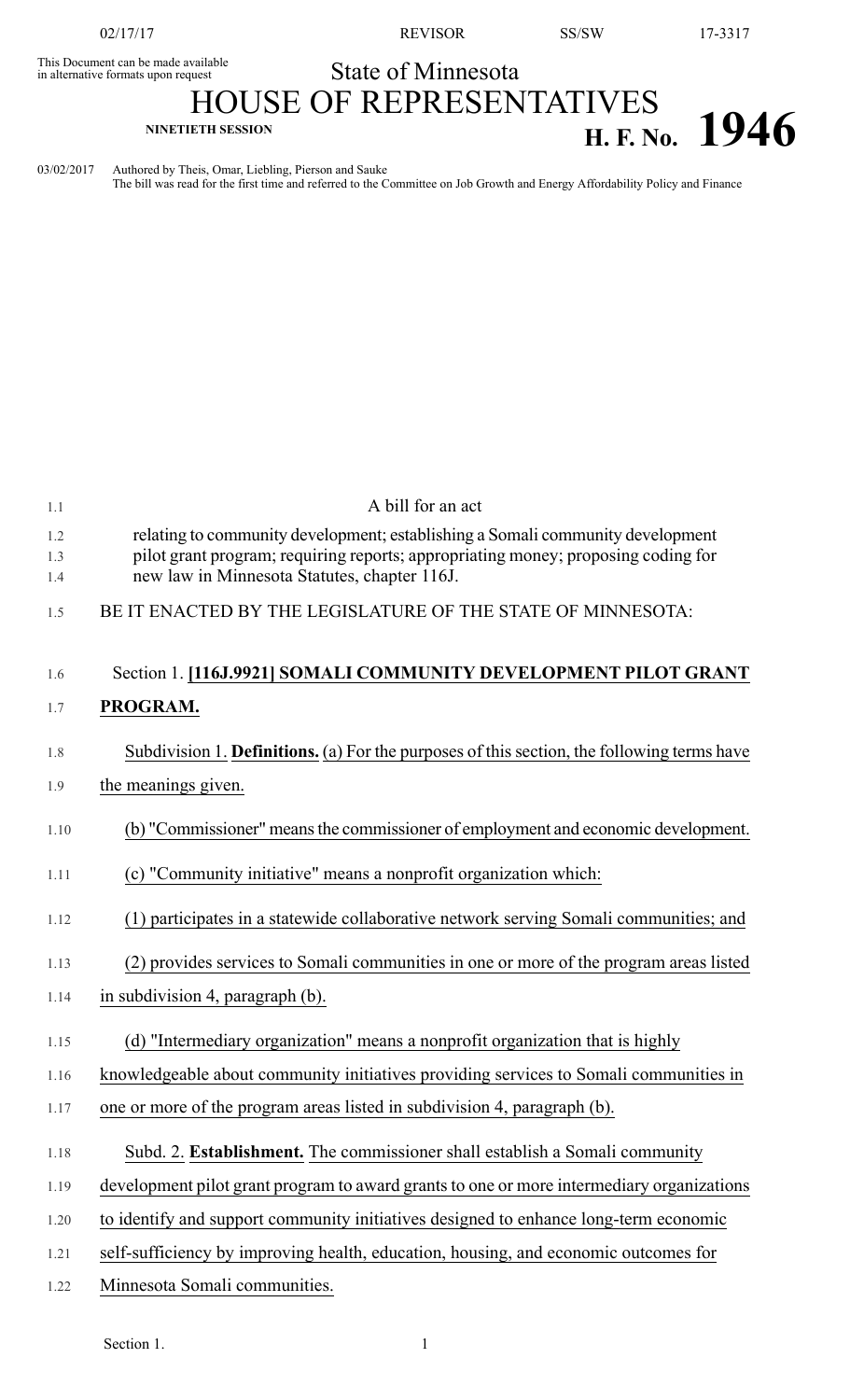02/17/17 REVISOR SS/SW 17-3317

## State of Minnesota

## This Document can be made available<br>in alternative formats upon request HOUSE OF REPRESENTATIVES **H. F. NO. CONCOUNTED H. F. No. 1946**

03/02/2017 Authored by Theis, Omar, Liebling, Pierson and Sauke The bill was read for the first time and referred to the Committee on Job Growth and Energy Affordability Policy and Finance

| 1.1        | A bill for an act                                                                                                                                                                                                   |
|------------|---------------------------------------------------------------------------------------------------------------------------------------------------------------------------------------------------------------------|
| 1.2<br>1.3 | relating to community development; establishing a Somali community development<br>pilot grant program; requiring reports; appropriating money; proposing coding for<br>new law in Minnesota Statutes, chapter 116J. |
| 1.4<br>1.5 | BE IT ENACTED BY THE LEGISLATURE OF THE STATE OF MINNESOTA:                                                                                                                                                         |
| 1.6        | Section 1. [116J.9921] SOMALI COMMUNITY DEVELOPMENT PILOT GRANT                                                                                                                                                     |
| 1.7        | PROGRAM.                                                                                                                                                                                                            |
| 1.8        | Subdivision 1. <b>Definitions.</b> (a) For the purposes of this section, the following terms have                                                                                                                   |
| 1.9        | the meanings given.                                                                                                                                                                                                 |
| 1.10       | (b) "Commissioner" means the commissioner of employment and economic development.                                                                                                                                   |
| 1.11       | (c) "Community initiative" means a nonprofit organization which:                                                                                                                                                    |
| 1.12       | (1) participates in a statewide collaborative network serving Somali communities; and                                                                                                                               |
| 1.13       | (2) provides services to Somali communities in one or more of the program areas listed                                                                                                                              |
| 1.14       | in subdivision 4, paragraph (b).                                                                                                                                                                                    |
| 1.15       | (d) "Intermediary organization" means a nonprofit organization that is highly                                                                                                                                       |
| 1.16       | knowledgeable about community initiatives providing services to Somali communities in                                                                                                                               |
| 1.17       | one or more of the program areas listed in subdivision 4, paragraph (b).                                                                                                                                            |
| 1.18       | Subd. 2. <b>Establishment.</b> The commissioner shall establish a Somali community                                                                                                                                  |
| 1.19       | development pilot grant program to award grants to one or more intermediary organizations                                                                                                                           |
| 1.20       | to identify and support community initiatives designed to enhance long-term economic                                                                                                                                |
| 1.21       | self-sufficiency by improving health, education, housing, and economic outcomes for                                                                                                                                 |
| 1.22       | Minnesota Somali communities.                                                                                                                                                                                       |
|            |                                                                                                                                                                                                                     |

Section 1.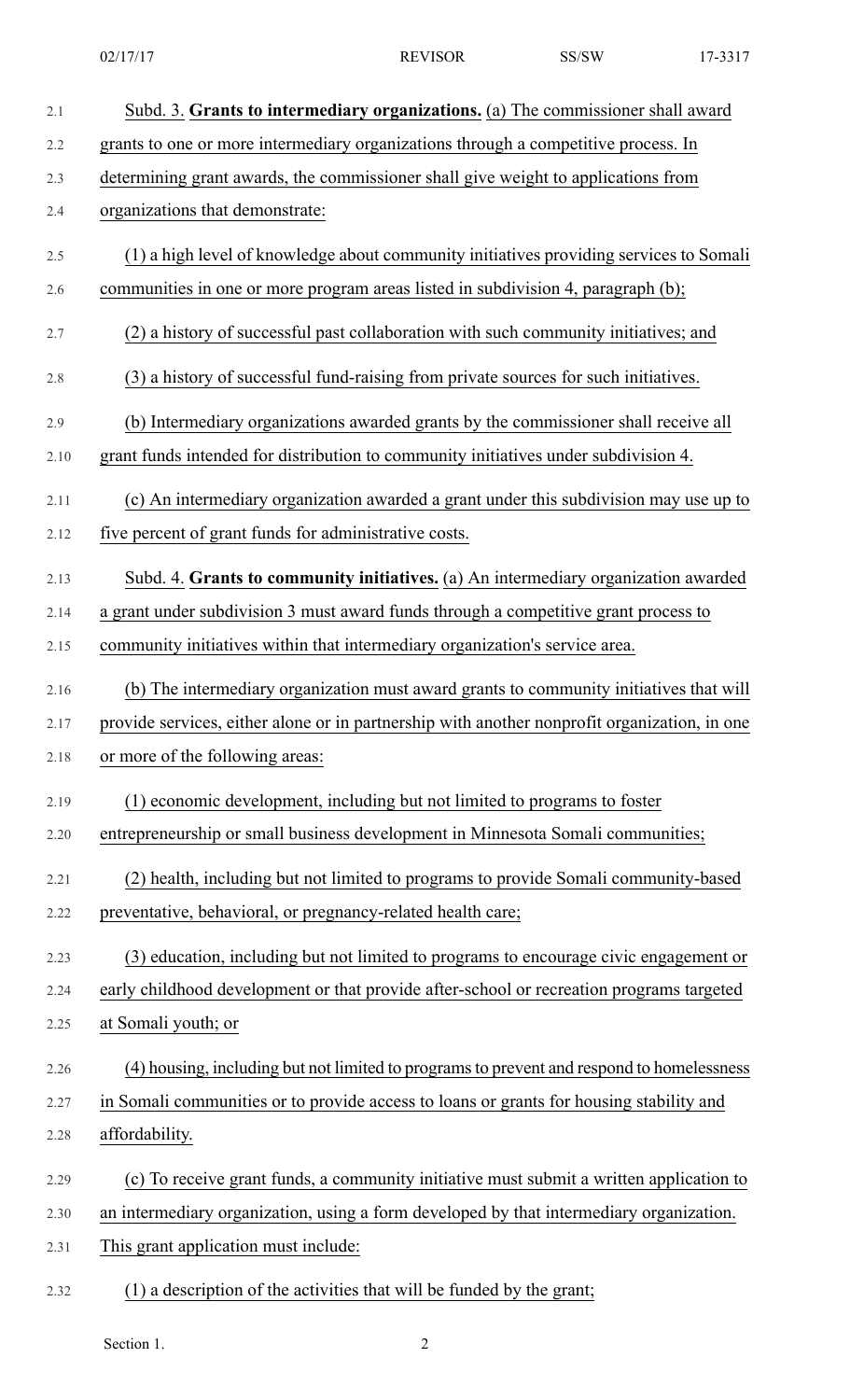| 2.1  | Subd. 3. Grants to intermediary organizations. (a) The commissioner shall award              |
|------|----------------------------------------------------------------------------------------------|
| 2.2  | grants to one or more intermediary organizations through a competitive process. In           |
| 2.3  | determining grant awards, the commissioner shall give weight to applications from            |
| 2.4  | organizations that demonstrate:                                                              |
| 2.5  | (1) a high level of knowledge about community initiatives providing services to Somali       |
| 2.6  | communities in one or more program areas listed in subdivision 4, paragraph (b);             |
| 2.7  | (2) a history of successful past collaboration with such community initiatives; and          |
| 2.8  | (3) a history of successful fund-raising from private sources for such initiatives.          |
| 2.9  | (b) Intermediary organizations awarded grants by the commissioner shall receive all          |
| 2.10 | grant funds intended for distribution to community initiatives under subdivision 4.          |
| 2.11 | (c) An intermediary organization awarded a grant under this subdivision may use up to        |
| 2.12 | five percent of grant funds for administrative costs.                                        |
| 2.13 | Subd. 4. Grants to community initiatives. (a) An intermediary organization awarded           |
| 2.14 | a grant under subdivision 3 must award funds through a competitive grant process to          |
| 2.15 | community initiatives within that intermediary organization's service area.                  |
| 2.16 | (b) The intermediary organization must award grants to community initiatives that will       |
| 2.17 | provide services, either alone or in partnership with another nonprofit organization, in one |
| 2.18 | or more of the following areas:                                                              |
| 2.19 | (1) economic development, including but not limited to programs to foster                    |
| 2.20 | entrepreneurship or small business development in Minnesota Somali communities;              |
| 2.21 | (2) health, including but not limited to programs to provide Somali community-based          |
| 2.22 | preventative, behavioral, or pregnancy-related health care;                                  |
| 2.23 | (3) education, including but not limited to programs to encourage civic engagement or        |
| 2.24 | early childhood development or that provide after-school or recreation programs targeted     |
| 2.25 | at Somali youth; or                                                                          |
| 2.26 | (4) housing, including but not limited to programs to prevent and respond to homelessness    |
| 2.27 | in Somali communities or to provide access to loans or grants for housing stability and      |
| 2.28 | affordability.                                                                               |
| 2.29 | (c) To receive grant funds, a community initiative must submit a written application to      |
| 2.30 | an intermediary organization, using a form developed by that intermediary organization.      |
| 2.31 | This grant application must include:                                                         |
| 2.32 | (1) a description of the activities that will be funded by the grant;                        |

Section 1. 2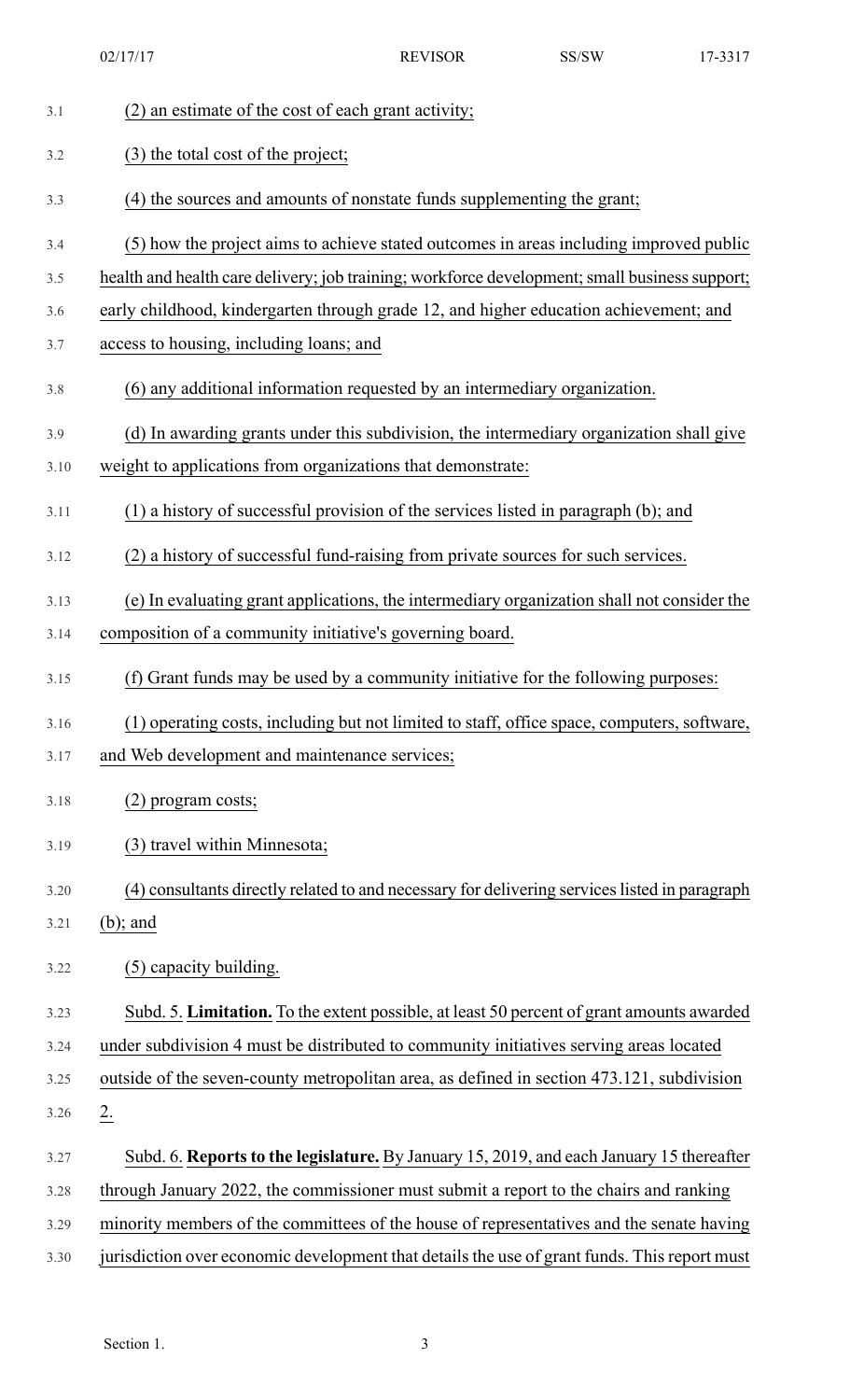|      | 02/17/17                                                                                      | <b>REVISOR</b> | SS/SW | 17-3317 |
|------|-----------------------------------------------------------------------------------------------|----------------|-------|---------|
| 3.1  | (2) an estimate of the cost of each grant activity;                                           |                |       |         |
| 3.2  | (3) the total cost of the project;                                                            |                |       |         |
| 3.3  | (4) the sources and amounts of nonstate funds supplementing the grant;                        |                |       |         |
| 3.4  | (5) how the project aims to achieve stated outcomes in areas including improved public        |                |       |         |
| 3.5  | health and health care delivery; job training; workforce development; small business support; |                |       |         |
| 3.6  | early childhood, kindergarten through grade 12, and higher education achievement; and         |                |       |         |
| 3.7  | access to housing, including loans; and                                                       |                |       |         |
| 3.8  | (6) any additional information requested by an intermediary organization.                     |                |       |         |
| 3.9  | (d) In awarding grants under this subdivision, the intermediary organization shall give       |                |       |         |
| 3.10 | weight to applications from organizations that demonstrate:                                   |                |       |         |
| 3.11 | (1) a history of successful provision of the services listed in paragraph (b); and            |                |       |         |
| 3.12 | (2) a history of successful fund-raising from private sources for such services.              |                |       |         |
| 3.13 | (e) In evaluating grant applications, the intermediary organization shall not consider the    |                |       |         |
| 3.14 | composition of a community initiative's governing board.                                      |                |       |         |
| 3.15 | (f) Grant funds may be used by a community initiative for the following purposes:             |                |       |         |
| 3.16 | (1) operating costs, including but not limited to staff, office space, computers, software,   |                |       |         |
| 3.17 | and Web development and maintenance services;                                                 |                |       |         |
| 3.18 | $(2)$ program costs;                                                                          |                |       |         |
| 3.19 | (3) travel within Minnesota;                                                                  |                |       |         |
| 3.20 | (4) consultants directly related to and necessary for delivering services listed in paragraph |                |       |         |
| 3.21 | $(b)$ ; and                                                                                   |                |       |         |
| 3.22 | (5) capacity building.                                                                        |                |       |         |
| 3.23 | Subd. 5. Limitation. To the extent possible, at least 50 percent of grant amounts awarded     |                |       |         |
| 3.24 | under subdivision 4 must be distributed to community initiatives serving areas located        |                |       |         |
| 3.25 | outside of the seven-county metropolitan area, as defined in section 473.121, subdivision     |                |       |         |
| 3.26 | 2.                                                                                            |                |       |         |
| 3.27 | Subd. 6. Reports to the legislature. By January 15, 2019, and each January 15 thereafter      |                |       |         |
| 3.28 | through January 2022, the commissioner must submit a report to the chairs and ranking         |                |       |         |
| 3.29 | minority members of the committees of the house of representatives and the senate having      |                |       |         |
| 3.30 | jurisdiction over economic development that details the use of grant funds. This report must  |                |       |         |